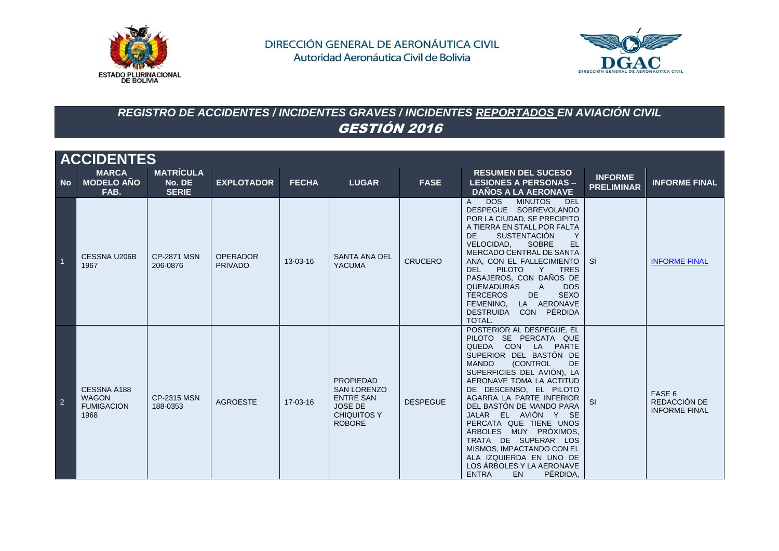



# *REGISTRO DE ACCIDENTES / INCIDENTES GRAVES / INCIDENTES REPORTADOS EN AVIACIÓN CIVIL* GESTIÓN 2016

|           | <b>ACCIDENTES</b>                                        |                                            |                                   |              |                                                                                                                     |                 |                                                                                                                                                                                                                                                                                                                                                                                                                                                                                                                     |                                     |                                                |  |  |  |
|-----------|----------------------------------------------------------|--------------------------------------------|-----------------------------------|--------------|---------------------------------------------------------------------------------------------------------------------|-----------------|---------------------------------------------------------------------------------------------------------------------------------------------------------------------------------------------------------------------------------------------------------------------------------------------------------------------------------------------------------------------------------------------------------------------------------------------------------------------------------------------------------------------|-------------------------------------|------------------------------------------------|--|--|--|
| <b>No</b> | <b>MARCA</b><br><b>MODELO AÑO</b><br>FAB.                | <b>MATRICULA</b><br>No. DE<br><b>SERIE</b> | <b>EXPLOTADOR</b>                 | <b>FECHA</b> | <b>LUGAR</b>                                                                                                        | <b>FASE</b>     | <b>RESUMEN DEL SUCESO</b><br><b>LESIONES A PERSONAS -</b><br><b>DAÑOS A LA AERONAVE</b>                                                                                                                                                                                                                                                                                                                                                                                                                             | <b>INFORME</b><br><b>PRELIMINAR</b> | <b>INFORME FINAL</b>                           |  |  |  |
|           | <b>CESSNA U206B</b><br>1967                              | <b>CP-2871 MSN</b><br>206-0876             | <b>OPERADOR</b><br><b>PRIVADO</b> | 13-03-16     | <b>SANTA ANA DEL</b><br><b>YACUMA</b>                                                                               | <b>CRUCERO</b>  | <b>DOS</b><br><b>MINUTOS</b><br><b>DEL</b><br>A<br>DESPEGUE SOBREVOLANDO<br>POR LA CIUDAD, SE PRECIPITO<br>A TIERRA EN STALL POR FALTA<br><b>SUSTENTACIÓN</b><br>DE.<br>Y<br>VELOCIDAD.<br><b>SOBRE</b><br><b>EL</b><br>MERCADO CENTRAL DE SANTA<br>ANA, CON EL FALLECIMIENTO<br><b>PILOTO</b><br>DEL<br>Y TRES<br>PASAJEROS, CON DAÑOS DE<br><b>QUEMADURAS</b><br><b>DOS</b><br>$\mathsf{A}$<br><b>SEXO</b><br><b>TERCEROS</b><br>DE<br>LA AERONAVE<br>FEMENINO,<br>CON PÉRDIDA<br><b>DESTRUIDA</b><br>TOTAL.      | -SI                                 | <b>INFORME FINAL</b>                           |  |  |  |
| 2         | CESSNA A188<br><b>WAGON</b><br><b>FUMIGACION</b><br>1968 | <b>CP-2315 MSN</b><br>188-0353             | <b>AGROESTE</b>                   | 17-03-16     | <b>PROPIEDAD</b><br><b>SAN LORENZO</b><br><b>ENTRE SAN</b><br><b>JOSE DE</b><br><b>CHIQUITOS Y</b><br><b>ROBORE</b> | <b>DESPEGUE</b> | POSTERIOR AL DESPEGUE, EL<br>PILOTO SE PERCATA QUE<br>QUEDA<br>CON LA PARTE<br>SUPERIOR DEL BASTÓN DE<br><b>MANDO</b><br>(CONTROL<br>DE<br>SUPERFICIES DEL AVIÓN), LA<br>AERONAVE TOMA LA ACTITUD<br>DE DESCENSO, EL PILOTO<br>AGARRA LA PARTE INFERIOR<br>DEL BASTÓN DE MANDO PARA<br>JALAR EL AVIÓN Y SE<br>PERCATA QUE TIENE UNOS<br>ÁRBOLES MUY PRÓXIMOS,<br>TRATA DE SUPERAR LOS<br>MISMOS, IMPACTANDO CON EL<br>ALA IZQUIERDA EN UNO DE<br>LOS ÁRBOLES Y LA AERONAVE<br>PÉRDIDA,<br><b>ENTRA</b><br><b>EN</b> | <b>SI</b>                           | FASE 6<br>REDACCIÓN DE<br><b>INFORME FINAL</b> |  |  |  |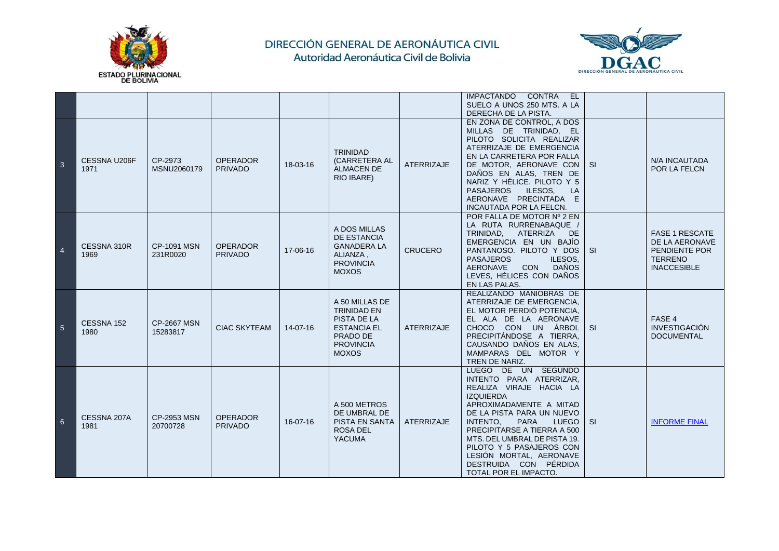



|                |                      |                                |                                   |                |                                                                                                                           |                   | IMPACTANDO CONTRA EL<br>SUELO A UNOS 250 MTS. A LA<br>DERECHA DE LA PISTA.                                                                                                                                                                                                                                                                                               |           |                                                                                                  |
|----------------|----------------------|--------------------------------|-----------------------------------|----------------|---------------------------------------------------------------------------------------------------------------------------|-------------------|--------------------------------------------------------------------------------------------------------------------------------------------------------------------------------------------------------------------------------------------------------------------------------------------------------------------------------------------------------------------------|-----------|--------------------------------------------------------------------------------------------------|
| -3             | CESSNA U206F<br>1971 | CP-2973<br>MSNU2060179         | <b>OPERADOR</b><br><b>PRIVADO</b> | 18-03-16       | <b>TRINIDAD</b><br>(CARRETERA AL<br><b>ALMACEN DE</b><br>RIO IBARE)                                                       | <b>ATERRIZAJE</b> | EN ZONA DE CONTROL, A DOS<br>MILLAS DE TRINIDAD, EL<br>PILOTO SOLICITA REALIZAR<br>ATERRIZAJE DE EMERGENCIA<br>EN LA CARRETERA POR FALLA<br>DE MOTOR, AERONAVE CON<br>DAÑOS EN ALAS, TREN DE<br>NARIZ Y HÉLICE. PILOTO Y 5<br><b>PASAJEROS</b><br>ILESOS.<br><b>LA</b><br>AERONAVE PRECINTADA E<br>INCAUTADA POR LA FELCN.                                               | <b>SI</b> | <b>N/A INCAUTADA</b><br>POR LA FELCN                                                             |
| $\overline{4}$ | CESSNA 310R<br>1969  | <b>CP-1091 MSN</b><br>231R0020 | <b>OPERADOR</b><br><b>PRIVADO</b> | 17-06-16       | A DOS MILLAS<br>DE ESTANCIA<br><b>GANADERA LA</b><br>ALIANZA,<br><b>PROVINCIA</b><br><b>MOXOS</b>                         | <b>CRUCERO</b>    | POR FALLA DE MOTOR Nº 2 EN<br>LA RUTA RURRENABAQUE /<br>TRINIDAD, ATERRIZA<br>DE.<br>EMERGENCIA EN UN BAJÍO<br>PANTANOSO. PILOTO Y DOS<br><b>PASAJEROS</b><br>ILESOS,<br>CON DAÑOS<br>AERONAVE<br>LEVES, HÉLICES CON DAÑOS<br>EN LAS PALAS.                                                                                                                              | <b>SI</b> | <b>FASE 1 RESCATE</b><br>DE LA AERONAVE<br>PENDIENTE POR<br><b>TERRENO</b><br><b>INACCESIBLE</b> |
| 5              | CESSNA 152<br>1980   | <b>CP-2667 MSN</b><br>15283817 | <b>CIAC SKYTEAM</b>               | $14 - 07 - 16$ | A 50 MILLAS DE<br><b>TRINIDAD EN</b><br>PISTA DE LA<br><b>ESTANCIA EL</b><br>PRADO DE<br><b>PROVINCIA</b><br><b>MOXOS</b> | <b>ATERRIZAJE</b> | REALIZANDO MANIOBRAS DE<br>ATERRIZAJE DE EMERGENCIA.<br>EL MOTOR PERDIÓ POTENCIA,<br>EL ALA DE LA AERONAVE<br>CHOCO CON UN ÁRBOL<br>PRECIPITÁNDOSE A TIERRA,<br>CAUSANDO DAÑOS EN ALAS,<br>MAMPARAS DEL MOTOR Y<br>TREN DE NARIZ.                                                                                                                                        | -SI       | FASE 4<br><b>INVESTIGACIÓN</b><br><b>DOCUMENTAL</b>                                              |
| 6              | CESSNA 207A<br>1981  | <b>CP-2953 MSN</b><br>20700728 | <b>OPERADOR</b><br><b>PRIVADO</b> | 16-07-16       | A 500 METROS<br>DE UMBRAL DE<br><b>PISTA EN SANTA</b><br><b>ROSA DEL</b><br><b>YACUMA</b>                                 | <b>ATERRIZAJE</b> | LUEGO DE UN SEGUNDO<br>INTENTO PARA ATERRIZAR,<br>REALIZA VIRAJE HACIA LA<br><b>IZQUIERDA</b><br>APROXIMADAMENTE A MITAD<br>DE LA PISTA PARA UN NUEVO<br>INTENTO.<br><b>PARA</b><br><b>LUEGO</b><br>PRECIPITARSE A TIERRA A 500<br>MTS. DEL UMBRAL DE PISTA 19.<br>PILOTO Y 5 PASAJEROS CON<br>LESIÓN MORTAL, AERONAVE<br>DESTRUIDA CON PÉRDIDA<br>TOTAL POR EL IMPACTO. | <b>SI</b> | <b>INFORME FINAL</b>                                                                             |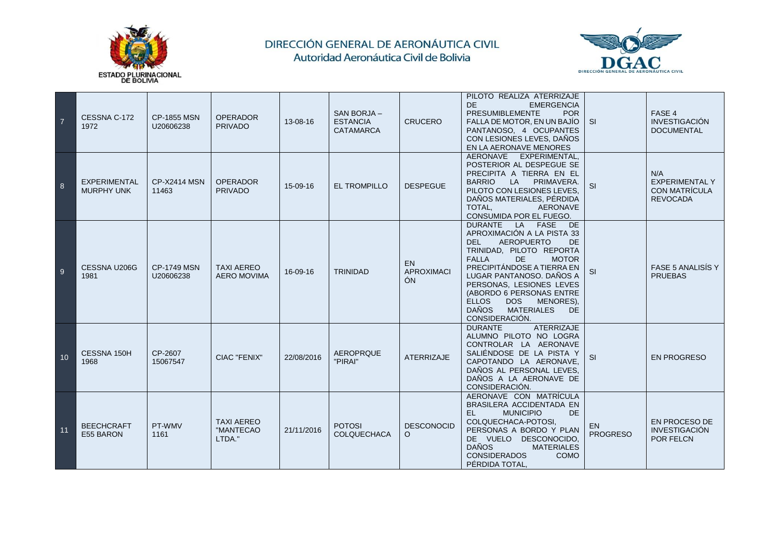



| $\overline{7}$ | CESSNA C-172<br>1972                     | <b>CP-1855 MSN</b><br>U20606238 | <b>OPERADOR</b><br><b>PRIVADO</b>        | 13-08-16   | SAN BORJA -<br><b>ESTANCIA</b><br><b>CATAMARCA</b> | <b>CRUCERO</b>                       | PILOTO REALIZA ATERRIZAJE<br><b>DE</b><br><b>EMERGENCIA</b><br><b>PRESUMIBLEMENTE</b><br><b>POR</b><br>FALLA DE MOTOR, EN UN BAJÍO<br>PANTANOSO, 4 OCUPANTES<br>CON LESIONES LEVES, DAÑOS<br>EN LA AERONAVE MENORES                                                                                                                                                                              | <b>SI</b>              | FASE 4<br><b>INVESTIGACIÓN</b><br><b>DOCUMENTAL</b>                     |
|----------------|------------------------------------------|---------------------------------|------------------------------------------|------------|----------------------------------------------------|--------------------------------------|--------------------------------------------------------------------------------------------------------------------------------------------------------------------------------------------------------------------------------------------------------------------------------------------------------------------------------------------------------------------------------------------------|------------------------|-------------------------------------------------------------------------|
| 8              | <b>EXPERIMENTAL</b><br><b>MURPHY UNK</b> | <b>CP-X2414 MSN</b><br>11463    | <b>OPERADOR</b><br><b>PRIVADO</b>        | 15-09-16   | <b>EL TROMPILLO</b>                                | <b>DESPEGUE</b>                      | AERONAVE EXPERIMENTAL.<br>POSTERIOR AL DESPEGUE SE<br>PRECIPITA A TIERRA EN EL<br><b>BARRIO</b><br>PRIMAVERA.<br>LA<br>PILOTO CON LESIONES LEVES.<br>DAÑOS MATERIALES, PÉRDIDA<br>TOTAL.<br><b>AERONAVE</b><br>CONSUMIDA POR EL FUEGO.                                                                                                                                                           | <b>SI</b>              | N/A<br><b>EXPERIMENTAL Y</b><br><b>CON MATRÍCULA</b><br><b>REVOCADA</b> |
| 9              | CESSNA U206G<br>1981                     | <b>CP-1749 MSN</b><br>U20606238 | <b>TAXI AEREO</b><br><b>AERO MOVIMA</b>  | 16-09-16   | <b>TRINIDAD</b>                                    | <b>EN</b><br><b>APROXIMACI</b><br>ÓN | DURANTE LA FASE<br>DE<br>APROXIMACIÓN A LA PISTA 33<br><b>AEROPUERTO</b><br><b>DEL</b><br><b>DE</b><br>TRINIDAD, PILOTO REPORTA<br><b>FALLA</b><br>DE<br><b>MOTOR</b><br>PRECIPITÁNDOSE A TIERRA EN<br>LUGAR PANTANOSO. DAÑOS A<br>PERSONAS, LESIONES LEVES<br>(ABORDO 6 PERSONAS ENTRE<br><b>ELLOS</b><br><b>DOS</b><br>MENORES),<br><b>DAÑOS</b><br><b>MATERIALES</b><br>DE.<br>CONSIDERACIÓN. | SI                     | FASE 5 ANALISÍS Y<br><b>PRUEBAS</b>                                     |
| 10             | CESSNA 150H<br>1968                      | CP-2607<br>15067547             | <b>CIAC "FENIX"</b>                      | 22/08/2016 | <b>AEROPRQUE</b><br>"PIRAI"                        | <b>ATERRIZAJE</b>                    | <b>DURANTE</b><br><b>ATERRIZAJE</b><br>ALUMNO PILOTO NO LOGRA<br>CONTROLAR LA AERONAVE<br>SALIÉNDOSE DE LA PISTA Y<br>CAPOTANDO LA AERONAVE,<br>DAÑOS AL PERSONAL LEVES.<br>DAÑOS A LA AERONAVE DE<br>CONSIDERACIÓN.                                                                                                                                                                             | SI                     | <b>EN PROGRESO</b>                                                      |
| 11             | <b>BEECHCRAFT</b><br>E55 BARON           | PT-WMV<br>1161                  | <b>TAXI AEREO</b><br>"MANTECAO<br>LTDA." | 21/11/2016 | <b>POTOSI</b><br>COLQUECHACA                       | <b>DESCONOCID</b><br>O               | AERONAVE CON MATRÍCULA<br>BRASILERA ACCIDENTADA EN<br>EL.<br><b>MUNICIPIO</b><br><b>DE</b><br>COLQUECHACA-POTOSI,<br>PERSONAS A BORDO Y PLAN<br>DE VUELO DESCONOCIDO,<br><b>DAÑOS</b><br><b>MATERIALES</b><br><b>CONSIDERADOS</b><br><b>COMO</b><br>PÉRDIDA TOTAL,                                                                                                                               | EN.<br><b>PROGRESO</b> | <b>EN PROCESO DE</b><br><b>INVESTIGACIÓN</b><br><b>POR FELCN</b>        |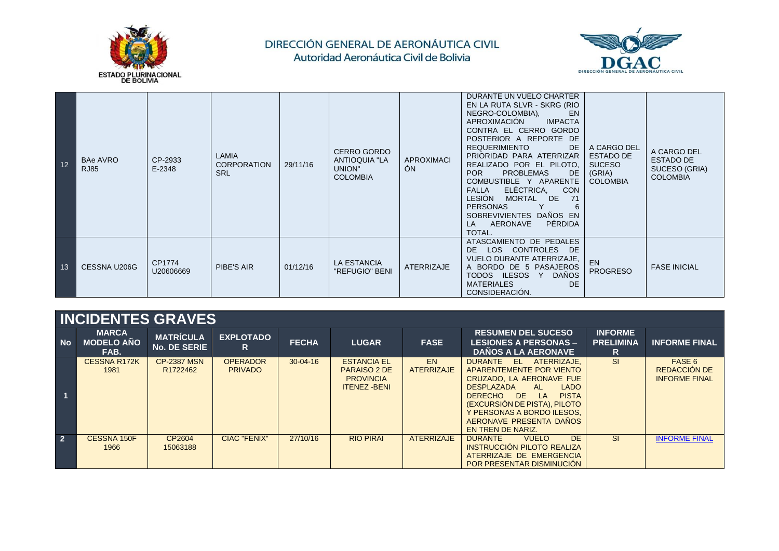



| 12 | <b>BAe AVRO</b><br><b>RJ85</b> | CP-2933<br>E-2348   | <b>LAMIA</b><br><b>CORPORATION</b><br><b>SRL</b> | 29/11/16 | <b>CERRO GORDO</b><br><b>ANTIOQUIA "LA</b><br>UNION"<br><b>COLOMBIA</b> | <b>APROXIMACI</b><br>ÓN | DURANTE UN VUELO CHARTER<br>EN LA RUTA SLVR - SKRG (RIO<br>NEGRO-COLOMBIA),<br><b>EN</b><br><b>IMPACTA</b><br>APROXIMACIÓN<br>CONTRA EL CERRO GORDO<br>POSTERIOR A REPORTE DE<br><b>REQUERIMIENTO</b><br>DE.<br>PRIORIDAD PARA ATERRIZAR<br>REALIZADO POR EL PILOTO,<br>POR<br><b>PROBLEMAS</b><br>DE.<br>COMBUSTIBLE Y APARENTE<br>ELÉCTRICA,<br><b>CON</b><br><b>FALLA</b><br><b>LESIÓN</b><br>MORTAL DE<br>71<br><b>PERSONAS</b><br>6<br>SOBREVIVIENTES DAÑOS EN<br>PÉRDIDA<br>AERONAVE<br>LA<br>TOTAL. | A CARGO DEL<br><b>ESTADO DE</b><br><b>SUCESO</b><br>(GRIA)<br><b>COLOMBIA</b> | A CARGO DEL<br><b>ESTADO DE</b><br>SUCESO (GRIA)<br><b>COLOMBIA</b> |
|----|--------------------------------|---------------------|--------------------------------------------------|----------|-------------------------------------------------------------------------|-------------------------|------------------------------------------------------------------------------------------------------------------------------------------------------------------------------------------------------------------------------------------------------------------------------------------------------------------------------------------------------------------------------------------------------------------------------------------------------------------------------------------------------------|-------------------------------------------------------------------------------|---------------------------------------------------------------------|
| 13 | CESSNA U206G                   | CP1774<br>U20606669 | <b>PIBE'S AIR</b>                                | 01/12/16 | <b>LA ESTANCIA</b><br>"REFUGIO" BENI                                    | <b>ATERRIZAJE</b>       | ATASCAMIENTO DE PEDALES<br>LOS CONTROLES DE<br>DE.<br><b>VUELO DURANTE ATERRIZAJE,</b><br>A BORDO DE 5 PASAJEROS<br><b>DAÑOS</b><br>TODOS ILESOS Y<br><b>MATERIALES</b><br><b>DE</b><br>CONSIDERACIÓN.                                                                                                                                                                                                                                                                                                     | <b>EN</b><br><b>PROGRESO</b>                                                  | <b>FASE INICIAL</b>                                                 |

|                | .                                         |                                            |                                   |                |                                                                                     |                          |                                                                                                                                                                                                                                                                                |                                         |                                                       |  |  |  |  |
|----------------|-------------------------------------------|--------------------------------------------|-----------------------------------|----------------|-------------------------------------------------------------------------------------|--------------------------|--------------------------------------------------------------------------------------------------------------------------------------------------------------------------------------------------------------------------------------------------------------------------------|-----------------------------------------|-------------------------------------------------------|--|--|--|--|
| <b>No</b>      | <b>MARCA</b><br><b>MODELO AÑO</b><br>FAB. | <b>MATRÍCULA</b><br>No. DE SERIE           | <b>EXPLOTADO</b><br>R             | <b>FECHA</b>   | <b>LUGAR</b>                                                                        | <b>FASE</b>              | <b>RESUMEN DEL SUCESO</b><br><b>LESIONES A PERSONAS –</b><br><b>DAÑOS A LA AERONAVE</b>                                                                                                                                                                                        | <b>INFORME</b><br><b>PRELIMINA</b><br>R | <b>INFORME FINAL</b>                                  |  |  |  |  |
|                | <b>CESSNA R172K</b><br>1981               | <b>CP-2387 MSN</b><br>R <sub>1722462</sub> | <b>OPERADOR</b><br><b>PRIVADO</b> | $30 - 04 - 16$ | <b>ESTANCIA EL</b><br><b>PARAISO 2 DE</b><br><b>PROVINCIA</b><br><b>ITENEZ-BENI</b> | EN.<br><b>ATERRIZAJE</b> | DURANTE EL ATERRIZAJE.<br>APARENTEMENTE POR VIENTO<br>CRUZADO, LA AERONAVE FUE<br><b>DESPLAZADA</b><br><b>LADO</b><br><b>AL</b><br><b>PISTA</b><br>DERECHO DE LA<br>(EXCURSIÓN DE PISTA), PILOTO<br>Y PERSONAS A BORDO ILESOS.<br>AERONAVE PRESENTA DAÑOS<br>EN TREN DE NARIZ. | <b>SI</b>                               | FASE 6<br><b>REDACCIÓN DE</b><br><b>INFORME FINAL</b> |  |  |  |  |
| $\overline{2}$ | CESSNA 150F<br>1966                       | CP2604<br>15063188                         | <b>CIAC "FENIX"</b>               | 27/10/16       | <b>RIO PIRAI</b>                                                                    | <b>ATERRIZAJE</b>        | <b>DE</b><br><b>DURANTE</b><br><b>VUELO</b><br><b>INSTRUCCIÓN PILOTO REALIZA</b><br>ATERRIZAJE DE EMERGENCIA<br><b>POR PRESENTAR DISMINUCIÓN</b>                                                                                                                               | <b>SI</b>                               | <b>INFORME FINAL</b>                                  |  |  |  |  |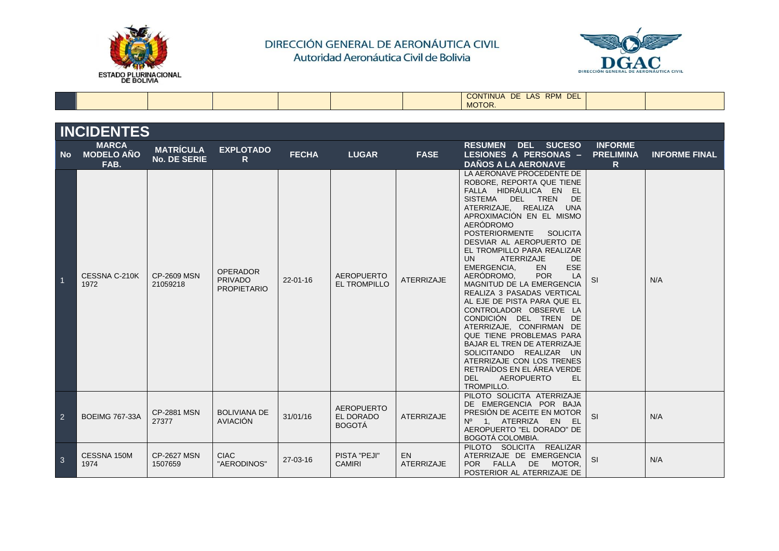



|  |  |  | <b>RPM</b><br>DEL <sub>1</sub><br>$-$<br><b>LAS</b><br><b>CONTINUA</b><br>DE. |  |
|--|--|--|-------------------------------------------------------------------------------|--|
|  |  |  | MOTOR.                                                                        |  |

|                | <b>INCIDENTES</b>                         |                                         |                                                         |                |                                                 |                                |                                                                                                                                                                                                                                                                                                                                                                                                                                                                                                                                                                                                                                                                                                                                                                                                 |                                          |                      |  |  |  |
|----------------|-------------------------------------------|-----------------------------------------|---------------------------------------------------------|----------------|-------------------------------------------------|--------------------------------|-------------------------------------------------------------------------------------------------------------------------------------------------------------------------------------------------------------------------------------------------------------------------------------------------------------------------------------------------------------------------------------------------------------------------------------------------------------------------------------------------------------------------------------------------------------------------------------------------------------------------------------------------------------------------------------------------------------------------------------------------------------------------------------------------|------------------------------------------|----------------------|--|--|--|
| <b>No</b>      | <b>MARCA</b><br><b>MODELO AÑO</b><br>FAB. | <b>MATRÍCULA</b><br><b>No. DE SERIE</b> | <b>EXPLOTADO</b><br>R.                                  | <b>FECHA</b>   | <b>LUGAR</b>                                    | <b>FASE</b>                    | <b>RESUMEN</b><br><b>DEL SUCESO</b><br><b>LESIONES A PERSONAS -</b><br><b>DAÑOS A LA AERONAVE</b>                                                                                                                                                                                                                                                                                                                                                                                                                                                                                                                                                                                                                                                                                               | <b>INFORME</b><br><b>PRELIMINA</b><br>R. | <b>INFORME FINAL</b> |  |  |  |
| $\overline{1}$ | CESSNA C-210K<br>1972                     | <b>CP-2609 MSN</b><br>21059218          | <b>OPERADOR</b><br><b>PRIVADO</b><br><b>PROPIETARIO</b> | $22 - 01 - 16$ | <b>AEROPUERTO</b><br><b>EL TROMPILLO</b>        | <b>ATERRIZAJE</b>              | LA AERONAVE PROCEDENTE DE<br>ROBORE, REPORTA QUE TIENE<br>FALLA HIDRÁULICA EN EL<br><b>SISTEMA</b><br>DEL TREN<br>DE<br>ATERRIZAJE, REALIZA UNA<br>APROXIMACIÓN EN EL MISMO<br>AERÓDROMO<br><b>POSTERIORMENTE</b><br><b>SOLICITA</b><br>DESVIAR AL AEROPUERTO DE<br>EL TROMPILLO PARA REALIZAR<br><b>ATERRIZAJE</b><br><b>DE</b><br>UN.<br>ESE<br>EMERGENCIA,<br>EN.<br>AERÓDROMO,<br><b>POR</b><br>LA<br>MAGNITUD DE LA EMERGENCIA<br>REALIZA 3 PASADAS VERTICAL<br>AL EJE DE PISTA PARA QUE EL<br>CONTROLADOR OBSERVE LA<br>CONDICIÓN DEL TREN DE<br>ATERRIZAJE, CONFIRMAN DE<br>QUE TIENE PROBLEMAS PARA<br><b>BAJAR EL TREN DE ATERRIZAJE</b><br>SOLICITANDO REALIZAR UN<br>ATERRIZAJE CON LOS TRENES<br>RETRAÍDOS EN EL ÁREA VERDE<br>DEL<br><b>AEROPUERTO</b><br>EL.<br><b>TROMPILLO.</b> | <b>SI</b>                                | N/A                  |  |  |  |
| $\overline{2}$ | <b>BOEIMG 767-33A</b>                     | <b>CP-2881 MSN</b><br>27377             | <b>BOLIVIANA DE</b><br>AVIACIÓN                         | 31/01/16       | <b>AEROPUERTO</b><br>EL DORADO<br><b>BOGOTÁ</b> | <b>ATERRIZAJE</b>              | PILOTO SOLICITA ATERRIZAJE<br>DE EMERGENCIA POR BAJA<br>PRESIÓN DE ACEITE EN MOTOR<br>Nº 1. ATERRIZA<br>EN<br>-EL<br>AEROPUERTO "EL DORADO" DE<br><b>BOGOTÁ COLOMBIA.</b>                                                                                                                                                                                                                                                                                                                                                                                                                                                                                                                                                                                                                       | SI                                       | N/A                  |  |  |  |
| $\overline{3}$ | CESSNA 150M<br>1974                       | <b>CP-2627 MSN</b><br>1507659           | <b>CIAC</b><br>"AERODINOS"                              | 27-03-16       | PISTA "PEJI"<br><b>CAMIRI</b>                   | <b>EN</b><br><b>ATERRIZAJE</b> | PILOTO SOLICITA REALIZAR<br>ATERRIZAJE DE EMERGENCIA<br><b>POR</b><br><b>FALLA</b><br><b>DE</b><br>MOTOR,<br>POSTERIOR AL ATERRIZAJE DE                                                                                                                                                                                                                                                                                                                                                                                                                                                                                                                                                                                                                                                         | SI                                       | N/A                  |  |  |  |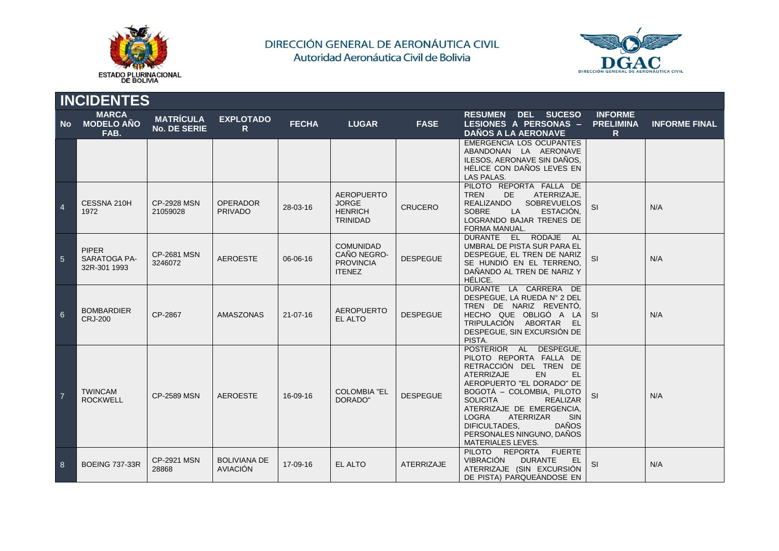



|                | <b>INCIDENTES</b>                            |                                         |                                        |                |                                                                        |                   |                                                                                                                                                                                                                                                                                                                                                                                |                                          |                      |  |  |  |  |
|----------------|----------------------------------------------|-----------------------------------------|----------------------------------------|----------------|------------------------------------------------------------------------|-------------------|--------------------------------------------------------------------------------------------------------------------------------------------------------------------------------------------------------------------------------------------------------------------------------------------------------------------------------------------------------------------------------|------------------------------------------|----------------------|--|--|--|--|
| No.            | <b>MARCA</b><br><b>MODELO AÑO</b><br>FAB.    | <b>MATRÍCULA</b><br><b>No. DE SERIE</b> | <b>EXPLOTADO</b><br>$\mathsf{R}$       | <b>FECHA</b>   | <b>LUGAR</b>                                                           | <b>FASE</b>       | <b>RESUMEN DEL SUCESO</b><br>LESIONES A PERSONAS -<br><b>DAÑOS A LA AERONAVE</b>                                                                                                                                                                                                                                                                                               | <b>INFORME</b><br><b>PRELIMINA</b><br>R. | <b>INFORME FINAL</b> |  |  |  |  |
|                |                                              |                                         |                                        |                |                                                                        |                   | <b>EMERGENCIA LOS OCUPANTES</b><br>ABANDONAN LA AERONAVE<br>ILESOS, AERONAVE SIN DAÑOS,<br>HÉLICE CON DAÑOS LEVES EN<br>LAS PALAS.                                                                                                                                                                                                                                             |                                          |                      |  |  |  |  |
| $\overline{4}$ | CESSNA 210H<br>1972                          | <b>CP-2928 MSN</b><br>21059028          | <b>OPERADOR</b><br><b>PRIVADO</b>      | 28-03-16       | <b>AEROPUERTO</b><br><b>JORGE</b><br><b>HENRICH</b><br><b>TRINIDAD</b> | <b>CRUCERO</b>    | PILOTO REPORTA FALLA DE<br><b>TREN</b><br>DE.<br>ATERRIZAJE.<br>SOBREVUELOS<br><b>REALIZANDO</b><br><b>SOBRE</b><br>LA<br>ESTACIÓN.<br>LOGRANDO BAJAR TRENES DE<br>FORMA MANUAL.                                                                                                                                                                                               | SI                                       | N/A                  |  |  |  |  |
| $\overline{5}$ | <b>PIPER</b><br>SARATOGA PA-<br>32R-301 1993 | <b>CP-2681 MSN</b><br>3246072           | <b>AEROESTE</b>                        | 06-06-16       | <b>COMUNIDAD</b><br>CAÑO NEGRO-<br><b>PROVINCIA</b><br><b>ITENEZ</b>   | <b>DESPEGUE</b>   | DURANTE EL RODAJE AL<br>UMBRAL DE PISTA SUR PARA EL<br>DESPEGUE, EL TREN DE NARIZ<br>SE HUNDIÓ EN EL TERRENO,<br>DAÑANDO AL TREN DE NARIZ Y<br>HÉLICE.                                                                                                                                                                                                                         | SI                                       | N/A                  |  |  |  |  |
| 6              | <b>BOMBARDIER</b><br><b>CRJ-200</b>          | CP-2867                                 | <b>AMASZONAS</b>                       | $21 - 07 - 16$ | <b>AEROPUERTO</b><br>EL ALTO                                           | <b>DESPEGUE</b>   | DURANTE LA CARRERA DE<br>DESPEGUE, LA RUEDA Nº 2 DEL<br>TREN DE NARIZ REVENTÓ.<br>HECHO QUE OBLIGÓ A LA<br>TRIPULACIÓN ABORTAR EL<br>DESPEGUE, SIN EXCURSIÓN DE<br>PISTA.                                                                                                                                                                                                      | <b>SI</b>                                | N/A                  |  |  |  |  |
|                | <b>TWINCAM</b><br><b>ROCKWELL</b>            | <b>CP-2589 MSN</b>                      | <b>AEROESTE</b>                        | 16-09-16       | <b>COLOMBIA "EL</b><br>DORADO"                                         | <b>DESPEGUE</b>   | POSTERIOR AL DESPEGUE,<br>PILOTO REPORTA FALLA DE<br>RETRACCIÓN DEL TREN DE<br><b>ATERRIZAJE</b><br>EN<br>EL<br>AEROPUERTO "EL DORADO" DE<br>BOGOTA - COLOMBIA, PILOTO<br><b>SOLICITA</b><br><b>REALIZAR</b><br>ATERRIZAJE DE EMERGENCIA.<br><b>LOGRA</b><br><b>ATERRIZAR</b><br><b>SIN</b><br>DIFICULTADES,<br><b>DAÑOS</b><br>PERSONALES NINGUNO, DAÑOS<br>MATERIALES LEVES. | SI                                       | N/A                  |  |  |  |  |
| 8              | <b>BOEING 737-33R</b>                        | <b>CP-2921 MSN</b><br>28868             | <b>BOLIVIANA DE</b><br><b>AVIACIÓN</b> | 17-09-16       | EL ALTO                                                                | <b>ATERRIZAJE</b> | PILOTO REPORTA<br><b>FUERTE</b><br><b>VIBRACIÓN</b><br><b>DURANTE</b><br><b>EL</b><br>ATERRIZAJE (SIN EXCURSIÓN<br>DE PISTA) PARQUEÁNDOSE EN                                                                                                                                                                                                                                   | SI                                       | N/A                  |  |  |  |  |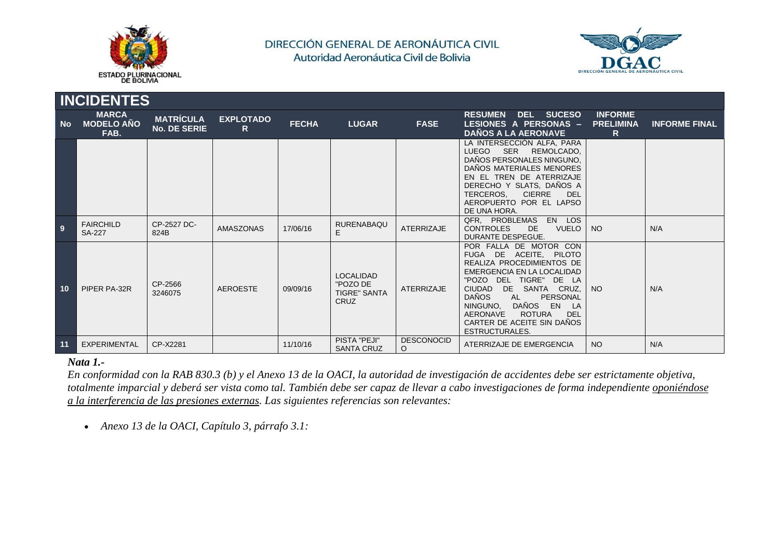



|           | <b>INCIDENTES</b>                         |                                         |                       |              |                                                                    |                        |                                                                                                                                                                                                                                                                                                                                               |                                                    |                      |  |  |  |  |
|-----------|-------------------------------------------|-----------------------------------------|-----------------------|--------------|--------------------------------------------------------------------|------------------------|-----------------------------------------------------------------------------------------------------------------------------------------------------------------------------------------------------------------------------------------------------------------------------------------------------------------------------------------------|----------------------------------------------------|----------------------|--|--|--|--|
| <b>No</b> | <b>MARCA</b><br><b>MODELO AÑO</b><br>FAB. | <b>MATRÍCULA</b><br><b>No. DE SERIE</b> | <b>EXPLOTADO</b><br>R | <b>FECHA</b> | <b>LUGAR</b>                                                       | <b>FASE</b>            | <b>DEL SUCESO</b><br><b>RESUMEN</b><br>LESIONES A PERSONAS -<br><b>DAÑOS A LA AERONAVE</b>                                                                                                                                                                                                                                                    | <b>INFORME</b><br><b>PRELIMINA</b><br>$\mathsf{R}$ | <b>INFORME FINAL</b> |  |  |  |  |
|           |                                           |                                         |                       |              |                                                                    |                        | LA INTERSECCIÓN ALFA, PARA<br><b>LUEGO</b><br>SER REMOLCADO,<br>DAÑOS PERSONALES NINGUNO,<br>DAÑOS MATERIALES MENORES<br>EN EL TREN DE ATERRIZAJE<br>DERECHO Y SLATS, DAÑOS A<br>TERCEROS.<br><b>CIERRE</b><br>DEL<br>AEROPUERTO POR EL LAPSO<br>DE UNA HORA.                                                                                 |                                                    |                      |  |  |  |  |
| 9         | <b>FAIRCHILD</b><br><b>SA-227</b>         | CP-2527 DC-<br>824B                     | AMASZONAS             | 17/06/16     | <b>RURENABAQU</b><br>E                                             | <b>ATERRIZAJE</b>      | QFR, PROBLEMAS<br>EN LOS<br><b>CONTROLES</b><br>DE.<br><b>VUELO</b><br>DURANTE DESPEGUE.                                                                                                                                                                                                                                                      | NO <sub>1</sub>                                    | N/A                  |  |  |  |  |
| 10        | PIPER PA-32R                              | CP-2566<br>3246075                      | <b>AEROESTE</b>       | 09/09/16     | <b>LOCALIDAD</b><br>"POZO DE<br><b>TIGRE" SANTA</b><br><b>CRUZ</b> | <b>ATERRIZAJE</b>      | POR FALLA DE MOTOR CON<br>FUGA DE ACEITE, PILOTO<br>REALIZA PROCEDIMIENTOS DE<br>EMERGENCIA EN LA LOCALIDAD<br>"POZO DEL TIGRE" DE LA<br>DE SANTA<br>CRUZ,<br><b>CIUDAD</b><br><b>DAÑOS</b><br>AL<br>PERSONAL<br>DAÑOS EN<br>NINGUNO.<br><b>LA</b><br>AERONAVE<br><b>ROTURA</b><br>DEL<br>CARTER DE ACEITE SIN DAÑOS<br><b>ESTRUCTURALES.</b> | NO <sub>1</sub>                                    | N/A                  |  |  |  |  |
| 11        | EXPERIMENTAL                              | CP-X2281                                |                       | 11/10/16     | PISTA "PEJI"<br><b>SANTA CRUZ</b>                                  | <b>DESCONOCID</b><br>O | ATERRIZAJE DE EMERGENCIA                                                                                                                                                                                                                                                                                                                      | <b>NO</b>                                          | N/A                  |  |  |  |  |

#### *Nata 1.-*

*En conformidad con la RAB 830.3 (b) y el Anexo 13 de la OACI, la autoridad de investigación de accidentes debe ser estrictamente objetiva, totalmente imparcial y deberá ser vista como tal. También debe ser capaz de llevar a cabo investigaciones de forma independiente oponiéndose a la interferencia de las presiones externas. Las siguientes referencias son relevantes:* 

*Anexo 13 de la OACI, Capítulo 3, párrafo 3.1:*